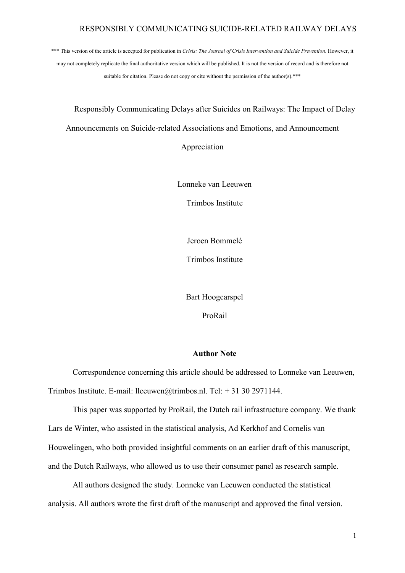\*\*\* This version of the article is accepted for publication in *Crisis: The Journal of Crisis Intervention and Suicide Prevention*. However, it may not completely replicate the final authoritative version which will be published. It is not the version of record and is therefore not suitable for citation. Please do not copy or cite without the permission of the author(s).\*\*\*

Responsibly Communicating Delays after Suicides on Railways: The Impact of Delay Announcements on Suicide-related Associations and Emotions, and Announcement

Appreciation

Lonneke van Leeuwen

Trimbos Institute

Jeroen Bommelé

Trimbos Institute

Bart Hoogcarspel

ProRail

# **Author Note**

Correspondence concerning this article should be addressed to Lonneke van Leeuwen, Trimbos Institute. E-mail: lleeuwen@trimbos.nl. Tel: + 31 30 2971144.

This paper was supported by ProRail, the Dutch rail infrastructure company. We thank Lars de Winter, who assisted in the statistical analysis, Ad Kerkhof and Cornelis van Houwelingen, who both provided insightful comments on an earlier draft of this manuscript, and the Dutch Railways, who allowed us to use their consumer panel as research sample.

All authors designed the study. Lonneke van Leeuwen conducted the statistical analysis. All authors wrote the first draft of the manuscript and approved the final version.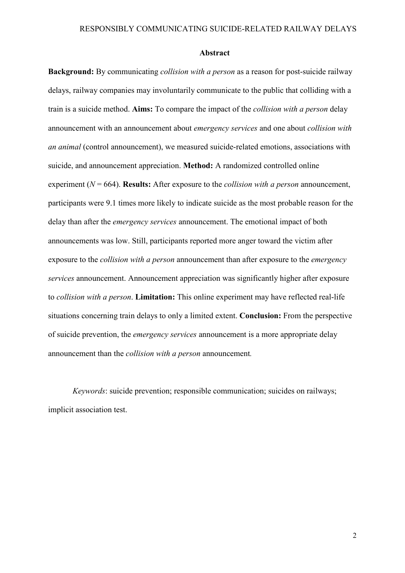#### **Abstract**

**Background:** By communicating *collision with a person* as a reason for post-suicide railway delays, railway companies may involuntarily communicate to the public that colliding with a train is a suicide method. **Aims:** To compare the impact of the *collision with a person* delay announcement with an announcement about *emergency services* and one about *collision with an animal* (control announcement), we measured suicide-related emotions, associations with suicide, and announcement appreciation. **Method:** A randomized controlled online experiment (*N* = 664). **Results:** After exposure to the *collision with a person* announcement, participants were 9.1 times more likely to indicate suicide as the most probable reason for the delay than after the *emergency services* announcement. The emotional impact of both announcements was low. Still, participants reported more anger toward the victim after exposure to the *collision with a person* announcement than after exposure to the *emergency services* announcement. Announcement appreciation was significantly higher after exposure to *collision with a person*. **Limitation:** This online experiment may have reflected real-life situations concerning train delays to only a limited extent. **Conclusion:** From the perspective of suicide prevention, the *emergency services* announcement is a more appropriate delay announcement than the *collision with a person* announcement*.*

*Keywords*: suicide prevention; responsible communication; suicides on railways; implicit association test.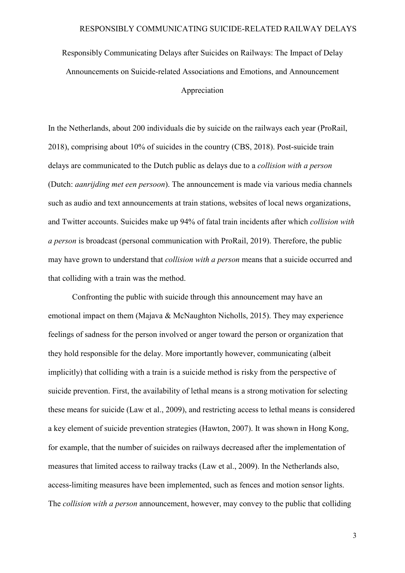Responsibly Communicating Delays after Suicides on Railways: The Impact of Delay Announcements on Suicide-related Associations and Emotions, and Announcement Appreciation

In the Netherlands, about 200 individuals die by suicide on the railways each year (ProRail, 2018), comprising about 10% of suicides in the country (CBS, 2018). Post-suicide train delays are communicated to the Dutch public as delays due to a *collision with a person* (Dutch: *aanrijding met een persoon*). The announcement is made via various media channels such as audio and text announcements at train stations, websites of local news organizations, and Twitter accounts. Suicides make up 94% of fatal train incidents after which *collision with a person* is broadcast (personal communication with ProRail, 2019). Therefore, the public may have grown to understand that *collision with a person* means that a suicide occurred and that colliding with a train was the method.

Confronting the public with suicide through this announcement may have an emotional impact on them (Majava & McNaughton Nicholls, 2015). They may experience feelings of sadness for the person involved or anger toward the person or organization that they hold responsible for the delay. More importantly however, communicating (albeit implicitly) that colliding with a train is a suicide method is risky from the perspective of suicide prevention. First, the availability of lethal means is a strong motivation for selecting these means for suicide (Law et al., 2009), and restricting access to lethal means is considered a key element of suicide prevention strategies (Hawton, 2007). It was shown in Hong Kong, for example, that the number of suicides on railways decreased after the implementation of measures that limited access to railway tracks (Law et al., 2009). In the Netherlands also, access-limiting measures have been implemented, such as fences and motion sensor lights. The *collision with a person* announcement, however, may convey to the public that colliding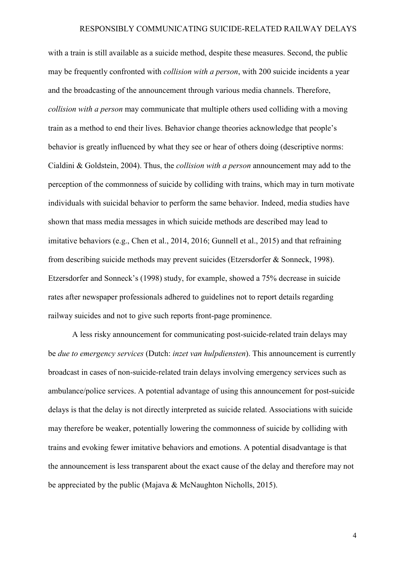with a train is still available as a suicide method, despite these measures. Second, the public may be frequently confronted with *collision with a person*, with 200 suicide incidents a year and the broadcasting of the announcement through various media channels. Therefore, *collision with a person* may communicate that multiple others used colliding with a moving train as a method to end their lives. Behavior change theories acknowledge that people's behavior is greatly influenced by what they see or hear of others doing (descriptive norms: Cialdini & Goldstein, 2004). Thus, the *collision with a person* announcement may add to the perception of the commonness of suicide by colliding with trains, which may in turn motivate individuals with suicidal behavior to perform the same behavior. Indeed, media studies have shown that mass media messages in which suicide methods are described may lead to imitative behaviors (e.g., Chen et al., 2014, 2016; Gunnell et al., 2015) and that refraining from describing suicide methods may prevent suicides (Etzersdorfer & Sonneck, 1998). Etzersdorfer and Sonneck's (1998) study, for example, showed a 75% decrease in suicide rates after newspaper professionals adhered to guidelines not to report details regarding railway suicides and not to give such reports front-page prominence.

A less risky announcement for communicating post-suicide-related train delays may be *due to emergency services* (Dutch: *inzet van hulpdiensten*). This announcement is currently broadcast in cases of non-suicide-related train delays involving emergency services such as ambulance/police services. A potential advantage of using this announcement for post-suicide delays is that the delay is not directly interpreted as suicide related. Associations with suicide may therefore be weaker, potentially lowering the commonness of suicide by colliding with trains and evoking fewer imitative behaviors and emotions. A potential disadvantage is that the announcement is less transparent about the exact cause of the delay and therefore may not be appreciated by the public (Majava & McNaughton Nicholls, 2015).

4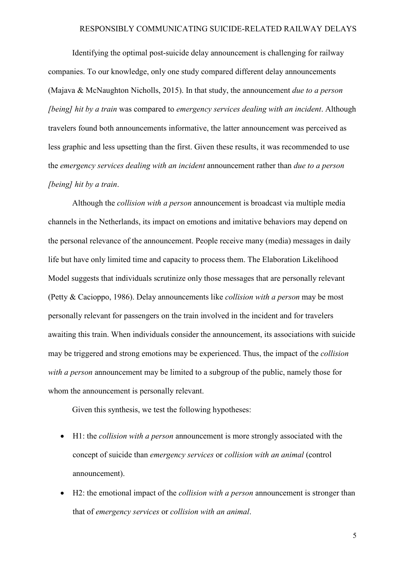Identifying the optimal post-suicide delay announcement is challenging for railway companies. To our knowledge, only one study compared different delay announcements (Majava & McNaughton Nicholls, 2015). In that study, the announcement *due to a person [being] hit by a train* was compared to *emergency services dealing with an incident*. Although travelers found both announcements informative, the latter announcement was perceived as less graphic and less upsetting than the first. Given these results, it was recommended to use the *emergency services dealing with an incident* announcement rather than *due to a person [being] hit by a train*.

Although the *collision with a person* announcement is broadcast via multiple media channels in the Netherlands, its impact on emotions and imitative behaviors may depend on the personal relevance of the announcement. People receive many (media) messages in daily life but have only limited time and capacity to process them. The Elaboration Likelihood Model suggests that individuals scrutinize only those messages that are personally relevant (Petty & Cacioppo, 1986). Delay announcements like *collision with a person* may be most personally relevant for passengers on the train involved in the incident and for travelers awaiting this train. When individuals consider the announcement, its associations with suicide may be triggered and strong emotions may be experienced. Thus, the impact of the *collision with a person* announcement may be limited to a subgroup of the public, namely those for whom the announcement is personally relevant.

Given this synthesis, we test the following hypotheses:

- H1: the *collision with a person* announcement is more strongly associated with the concept of suicide than *emergency services* or *collision with an animal* (control announcement).
- H2: the emotional impact of the *collision with a person* announcement is stronger than that of *emergency services* or *collision with an animal*.

5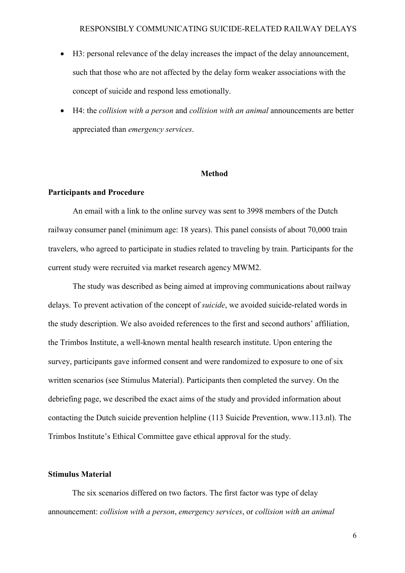- H3: personal relevance of the delay increases the impact of the delay announcement, such that those who are not affected by the delay form weaker associations with the concept of suicide and respond less emotionally.
- H4: the *collision with a person* and *collision with an animal* announcements are better appreciated than *emergency services*.

#### **Method**

# **Participants and Procedure**

An email with a link to the online survey was sent to 3998 members of the Dutch railway consumer panel (minimum age: 18 years). This panel consists of about 70,000 train travelers, who agreed to participate in studies related to traveling by train. Participants for the current study were recruited via market research agency MWM2.

The study was described as being aimed at improving communications about railway delays. To prevent activation of the concept of *suicide*, we avoided suicide-related words in the study description. We also avoided references to the first and second authors' affiliation, the Trimbos Institute, a well-known mental health research institute. Upon entering the survey, participants gave informed consent and were randomized to exposure to one of six written scenarios (see Stimulus Material). Participants then completed the survey. On the debriefing page, we described the exact aims of the study and provided information about contacting the Dutch suicide prevention helpline (113 Suicide Prevention, www.113.nl). The Trimbos Institute's Ethical Committee gave ethical approval for the study.

## **Stimulus Material**

The six scenarios differed on two factors. The first factor was type of delay announcement: *collision with a person*, *emergency services*, or *collision with an animal*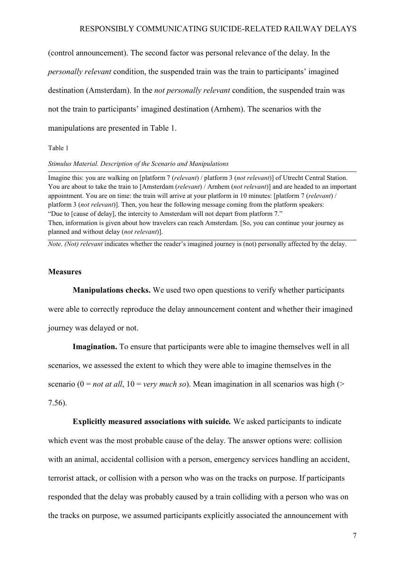(control announcement). The second factor was personal relevance of the delay. In the *personally relevant* condition, the suspended train was the train to participants' imagined destination (Amsterdam). In the *not personally relevant* condition, the suspended train was not the train to participants' imagined destination (Arnhem). The scenarios with the manipulations are presented in Table 1.

Table 1

#### *Stimulus Material. Description of the Scenario and Manipulations*

Imagine this: you are walking on [platform 7 (*relevant*) / platform 3 (*not relevant*)] of Utrecht Central Station. You are about to take the train to [Amsterdam (*relevant*) / Arnhem (*not relevant*)] and are headed to an important appointment. You are on time: the train will arrive at your platform in 10 minutes: [platform 7 (*relevant*) / platform 3 (*not relevant*)]. Then, you hear the following message coming from the platform speakers: "Due to [cause of delay], the intercity to Amsterdam will not depart from platform 7." Then, information is given about how travelers can reach Amsterdam. [So, you can continue your journey as planned and without delay (*not relevant*)].

*Note*. *(Not) relevant* indicates whether the reader's imagined journey is (not) personally affected by the delay.

# **Measures**

**Manipulations checks.** We used two open questions to verify whether participants were able to correctly reproduce the delay announcement content and whether their imagined journey was delayed or not.

**Imagination.** To ensure that participants were able to imagine themselves well in all scenarios, we assessed the extent to which they were able to imagine themselves in the scenario (0 = *not at all*, 10 = *very much so*). Mean imagination in all scenarios was high (> 7.56).

**Explicitly measured associations with suicide***.* We asked participants to indicate which event was the most probable cause of the delay. The answer options were: collision with an animal, accidental collision with a person, emergency services handling an accident, terrorist attack, or collision with a person who was on the tracks on purpose. If participants responded that the delay was probably caused by a train colliding with a person who was on the tracks on purpose, we assumed participants explicitly associated the announcement with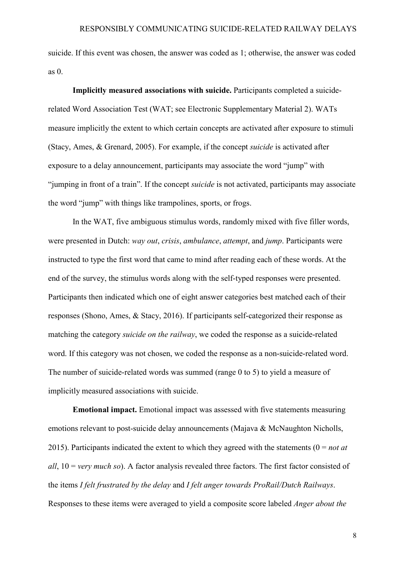suicide. If this event was chosen, the answer was coded as 1; otherwise, the answer was coded as 0.

**Implicitly measured associations with suicide.** Participants completed a suiciderelated Word Association Test (WAT; see Electronic Supplementary Material 2). WATs measure implicitly the extent to which certain concepts are activated after exposure to stimuli (Stacy, Ames, & Grenard, 2005). For example, if the concept *suicide* is activated after exposure to a delay announcement, participants may associate the word "jump" with "jumping in front of a train". If the concept *suicide* is not activated, participants may associate the word "jump" with things like trampolines, sports, or frogs.

In the WAT, five ambiguous stimulus words, randomly mixed with five filler words, were presented in Dutch: *way out*, *crisis*, *ambulance*, *attempt*, and *jump*. Participants were instructed to type the first word that came to mind after reading each of these words. At the end of the survey, the stimulus words along with the self-typed responses were presented. Participants then indicated which one of eight answer categories best matched each of their responses (Shono, Ames, & Stacy, 2016). If participants self-categorized their response as matching the category *suicide on the railway*, we coded the response as a suicide-related word. If this category was not chosen, we coded the response as a non-suicide-related word. The number of suicide-related words was summed (range 0 to 5) to yield a measure of implicitly measured associations with suicide.

**Emotional impact.** Emotional impact was assessed with five statements measuring emotions relevant to post-suicide delay announcements (Majava & McNaughton Nicholls, 2015). Participants indicated the extent to which they agreed with the statements (0 = *not at all*, 10 = *very much so*). A factor analysis revealed three factors. The first factor consisted of the items *I felt frustrated by the delay* and *I felt anger towards ProRail/Dutch Railways*. Responses to these items were averaged to yield a composite score labeled *Anger about the*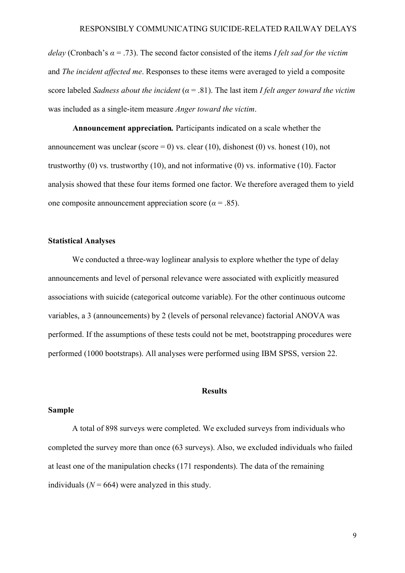*delay* (Cronbach's *α* = .73). The second factor consisted of the items *I felt sad for the victim* and *The incident affected me*. Responses to these items were averaged to yield a composite score labeled *Sadness about the incident* (*α* = .81). The last item *I felt anger toward the victim* was included as a single-item measure *Anger toward the victim*.

**Announcement appreciation***.* Participants indicated on a scale whether the announcement was unclear (score = 0) vs. clear (10), dishonest (0) vs. honest (10), not trustworthy (0) vs. trustworthy (10), and not informative (0) vs. informative (10). Factor analysis showed that these four items formed one factor. We therefore averaged them to yield one composite announcement appreciation score ( $\alpha$  = .85).

## **Statistical Analyses**

We conducted a three-way loglinear analysis to explore whether the type of delay announcements and level of personal relevance were associated with explicitly measured associations with suicide (categorical outcome variable). For the other continuous outcome variables, a 3 (announcements) by 2 (levels of personal relevance) factorial ANOVA was performed. If the assumptions of these tests could not be met, bootstrapping procedures were performed (1000 bootstraps). All analyses were performed using IBM SPSS, version 22.

## **Results**

## **Sample**

A total of 898 surveys were completed. We excluded surveys from individuals who completed the survey more than once (63 surveys). Also, we excluded individuals who failed at least one of the manipulation checks (171 respondents). The data of the remaining individuals ( $N = 664$ ) were analyzed in this study.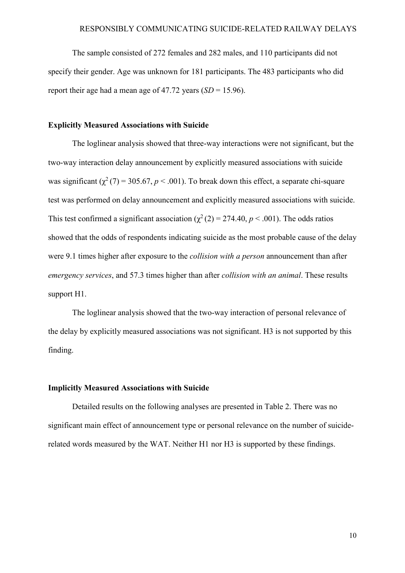The sample consisted of 272 females and 282 males, and 110 participants did not specify their gender. Age was unknown for 181 participants. The 483 participants who did report their age had a mean age of  $47.72$  years  $(SD = 15.96)$ .

# **Explicitly Measured Associations with Suicide**

The loglinear analysis showed that three-way interactions were not significant, but the two-way interaction delay announcement by explicitly measured associations with suicide was significant ( $\chi^2$  (7) = 305.67, *p* < .001). To break down this effect, a separate chi-square test was performed on delay announcement and explicitly measured associations with suicide. This test confirmed a significant association ( $\chi^2$  (2) = 274.40, *p* < .001). The odds ratios showed that the odds of respondents indicating suicide as the most probable cause of the delay were 9.1 times higher after exposure to the *collision with a person* announcement than after *emergency services*, and 57.3 times higher than after *collision with an animal*. These results support H1.

The loglinear analysis showed that the two-way interaction of personal relevance of the delay by explicitly measured associations was not significant. H3 is not supported by this finding.

# **Implicitly Measured Associations with Suicide**

Detailed results on the following analyses are presented in Table 2. There was no significant main effect of announcement type or personal relevance on the number of suiciderelated words measured by the WAT. Neither H1 nor H3 is supported by these findings.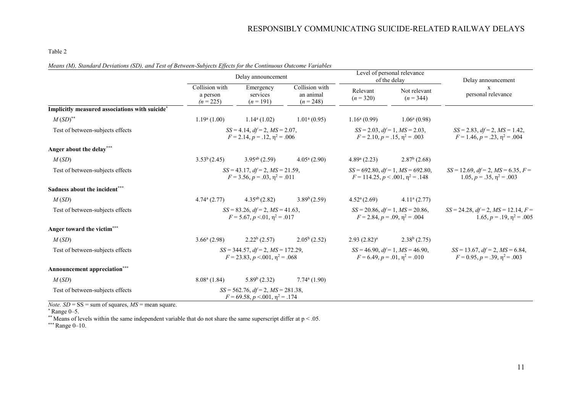#### Table 2

|  |  |  |  | Means (M), Standard Deviations (SD), and Test of Between-Subjects Effects for the Continuous Outcome Variables |
|--|--|--|--|----------------------------------------------------------------------------------------------------------------|
|--|--|--|--|----------------------------------------------------------------------------------------------------------------|

|                                                            | Delay announcement                                                                      |                                      |                                                                                | Level of personal relevance<br>of the delay |                                                                                     | Delay announcement      |
|------------------------------------------------------------|-----------------------------------------------------------------------------------------|--------------------------------------|--------------------------------------------------------------------------------|---------------------------------------------|-------------------------------------------------------------------------------------|-------------------------|
|                                                            | Collision with<br>a person<br>$(n = 225)$                                               | Emergency<br>services<br>$(n = 191)$ | Collision with<br>an animal<br>$(n = 248)$                                     | Relevant<br>$(n = 320)$                     | Not relevant<br>$(n = 344)$                                                         | X<br>personal relevance |
| Implicitly measured associations with suicide*             |                                                                                         |                                      |                                                                                |                                             |                                                                                     |                         |
| $M(SD)$ <sup>**</sup>                                      | $1.19^{\circ}$ (1.00)                                                                   | $1.14^a(1.02)$                       | $1.01a$ (0.95)                                                                 | $1.16^{\rm a}$ (0.99)                       | $1.06^{\mathrm{a}}(0.98)$                                                           |                         |
| Test of between-subjects effects                           | $SS = 4.14$ , $df = 2$ , $MS = 2.07$ ,<br>$F = 2.14, p = .12, \eta^2 = .006$            |                                      | $SS = 2.03$ , $df = 1$ , $MS = 2.03$ ,<br>$F = 2.10, p = .15, \eta^2 = .003$   |                                             | $SS = 2.83$ , $df = 2$ , $MS = 1.42$ ,<br>$F = 1.46$ , $p = .23$ , $\eta^2 = .004$  |                         |
| Anger about the delay***                                   |                                                                                         |                                      |                                                                                |                                             |                                                                                     |                         |
| M(SD)                                                      | 3.53 <sup>b</sup> (2.45)                                                                | $3.95^{ab}$ (2.59)                   | $4.05^{\rm a}$ (2.90)                                                          | $4.89^{\circ}$ (2.23)                       | $2.87b$ (2.68)                                                                      |                         |
| Test of between-subjects effects                           | $SS = 43.17$ , $df = 2$ , $MS = 21.59$ ,<br>$F = 3.56, p = .03, \eta^2 = .011$          |                                      | $SS = 692.80, df = 1, MS = 692.80,$<br>$F = 114.25, p < .001, \eta^2 = .148$   |                                             | $SS = 12.69$ , $df = 2$ , $MS = 6.35$ , $F =$<br>1.05, $p = .35$ , $n^2 = .003$     |                         |
| Sadness about the incident***                              |                                                                                         |                                      |                                                                                |                                             |                                                                                     |                         |
| M(SD)                                                      | $4.74^{\mathrm{a}}$ $(2.77)$                                                            | $4.35^{ab}$ (2.82)                   | 3.89 <sup>b</sup> (2.59)                                                       | $4.52^{\rm a}(2.69)$                        | $4.11a$ (2.77)                                                                      |                         |
| Test of between-subjects effects                           | $SS = 83.26$ , $df = 2$ , $MS = 41.63$ ,<br>$F = 5.67, p < 0.01, \eta^2 = 0.017$        |                                      | $SS = 20.86$ , $df = 1$ , $MS = 20.86$ ,<br>$F = 2.84, p = .09, \eta^2 = .004$ |                                             | $SS = 24.28$ , $df = 2$ , $MS = 12.14$ , $F =$<br>1.65, $p = .19$ , $\eta^2 = .005$ |                         |
| Anger toward the victim***                                 |                                                                                         |                                      |                                                                                |                                             |                                                                                     |                         |
| M(SD)                                                      | $3.66^{\rm a}$ (2.98)                                                                   | $2.22^b(2.57)$                       | $2.05^b(2.52)$                                                                 | $2.93(2.82)^a$                              | $2.38b$ (2.75)                                                                      |                         |
| Test of between-subjects effects                           | $SS = 344.57$ , $df = 2$ , $MS = 172.29$ ,<br>$F = 23.83$ , $p < 0.001$ , $p^2 = 0.068$ |                                      | $SS = 46.90$ , $df = 1$ , $MS = 46.90$ ,<br>$F = 6.49, p = .01, \eta^2 = .010$ |                                             | $SS = 13.67$ , $df = 2$ , $MS = 6.84$ ,<br>$F = 0.95$ , $p = .39$ , $p^2 = .003$    |                         |
| Announcement appreciation***                               |                                                                                         |                                      |                                                                                |                                             |                                                                                     |                         |
| M(SD)                                                      | $8.08^{\rm a}$ (1.84)                                                                   | $5.89^b(2.32)$                       | $7.74a$ (1.90)                                                                 |                                             |                                                                                     |                         |
| Test of between-subjects effects                           | $SS = 562.76$ , $df = 2$ , $MS = 281.38$ ,<br>$F = 69.58, p < 0.001, \eta^2 = 0.174$    |                                      |                                                                                |                                             |                                                                                     |                         |
| <i>Note.</i> $SD = SS = sum of squares, MS = mean square.$ |                                                                                         |                                      |                                                                                |                                             |                                                                                     |                         |

 $*$  Range 0–5.

\*\* Means of levels within the same independent variable that do not share the same superscript differ at  $p < 0.05$ .

\*\*\* Range 0-10.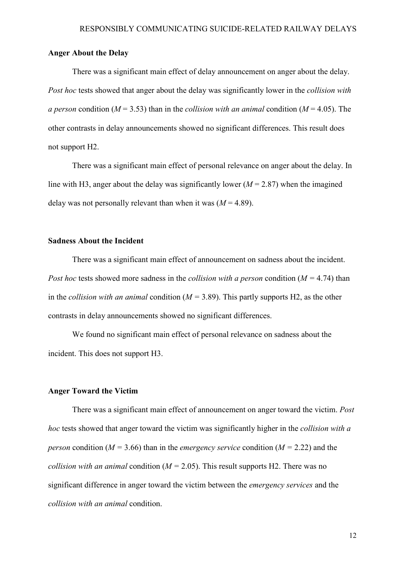# **Anger About the Delay**

There was a significant main effect of delay announcement on anger about the delay. *Post hoc* tests showed that anger about the delay was significantly lower in the *collision with a person condition* ( $M = 3.53$ ) than in the *collision with an animal condition* ( $M = 4.05$ ). The other contrasts in delay announcements showed no significant differences. This result does not support H2.

There was a significant main effect of personal relevance on anger about the delay. In line with H3, anger about the delay was significantly lower  $(M = 2.87)$  when the imagined delay was not personally relevant than when it was  $(M = 4.89)$ .

#### **Sadness About the Incident**

There was a significant main effect of announcement on sadness about the incident. *Post hoc* tests showed more sadness in the *collision with a person* condition (*M =* 4.74) than in the *collision with an animal* condition (*M =* 3.89). This partly supports H2, as the other contrasts in delay announcements showed no significant differences.

We found no significant main effect of personal relevance on sadness about the incident. This does not support H3.

## **Anger Toward the Victim**

There was a significant main effect of announcement on anger toward the victim. *Post hoc* tests showed that anger toward the victim was significantly higher in the *collision with a person condition* ( $M = 3.66$ ) than in the *emergency service condition* ( $M = 2.22$ ) and the *collision with an animal* condition (*M =* 2.05). This result supports H2. There was no significant difference in anger toward the victim between the *emergency services* and the *collision with an animal* condition.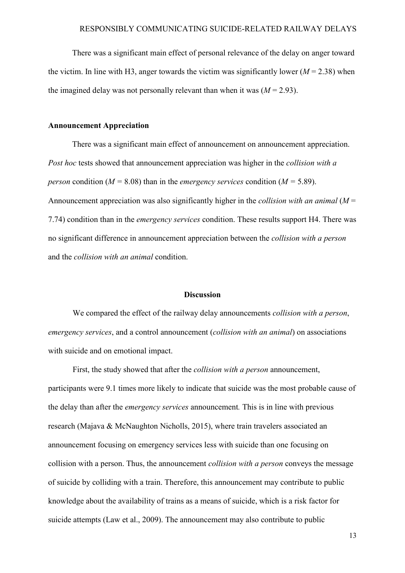There was a significant main effect of personal relevance of the delay on anger toward the victim. In line with H3, anger towards the victim was significantly lower  $(M = 2.38)$  when the imagined delay was not personally relevant than when it was  $(M = 2.93)$ .

#### **Announcement Appreciation**

There was a significant main effect of announcement on announcement appreciation. *Post hoc* tests showed that announcement appreciation was higher in the *collision with a person condition* ( $M = 8.08$ ) than in the *emergency services condition* ( $M = 5.89$ ). Announcement appreciation was also significantly higher in the *collision with an animal* (*M* = 7.74) condition than in the *emergency services* condition. These results support H4. There was no significant difference in announcement appreciation between the *collision with a person* and the *collision with an animal* condition.

## **Discussion**

We compared the effect of the railway delay announcements *collision with a person*, *emergency services*, and a control announcement (*collision with an animal*) on associations with suicide and on emotional impact.

First, the study showed that after the *collision with a person* announcement, participants were 9.1 times more likely to indicate that suicide was the most probable cause of the delay than after the *emergency services* announcement*.* This is in line with previous research (Majava & McNaughton Nicholls, 2015), where train travelers associated an announcement focusing on emergency services less with suicide than one focusing on collision with a person. Thus, the announcement *collision with a person* conveys the message of suicide by colliding with a train. Therefore, this announcement may contribute to public knowledge about the availability of trains as a means of suicide, which is a risk factor for suicide attempts (Law et al., 2009). The announcement may also contribute to public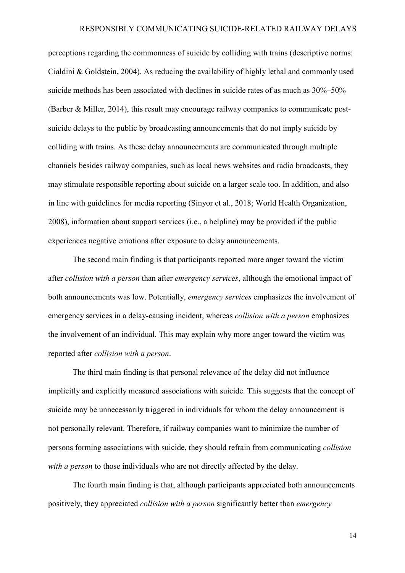perceptions regarding the commonness of suicide by colliding with trains (descriptive norms: Cialdini & Goldstein, 2004). As reducing the availability of highly lethal and commonly used suicide methods has been associated with declines in suicide rates of as much as 30%–50% (Barber & Miller, 2014), this result may encourage railway companies to communicate postsuicide delays to the public by broadcasting announcements that do not imply suicide by colliding with trains. As these delay announcements are communicated through multiple channels besides railway companies, such as local news websites and radio broadcasts, they may stimulate responsible reporting about suicide on a larger scale too. In addition, and also in line with guidelines for media reporting (Sinyor et al., 2018; World Health Organization, 2008), information about support services (i.e., a helpline) may be provided if the public experiences negative emotions after exposure to delay announcements.

The second main finding is that participants reported more anger toward the victim after *collision with a person* than after *emergency services*, although the emotional impact of both announcements was low. Potentially, *emergency services* emphasizes the involvement of emergency services in a delay-causing incident, whereas *collision with a person* emphasizes the involvement of an individual. This may explain why more anger toward the victim was reported after *collision with a person*.

The third main finding is that personal relevance of the delay did not influence implicitly and explicitly measured associations with suicide. This suggests that the concept of suicide may be unnecessarily triggered in individuals for whom the delay announcement is not personally relevant. Therefore, if railway companies want to minimize the number of persons forming associations with suicide, they should refrain from communicating *collision with a person* to those individuals who are not directly affected by the delay.

The fourth main finding is that, although participants appreciated both announcements positively, they appreciated *collision with a person* significantly better than *emergency* 

14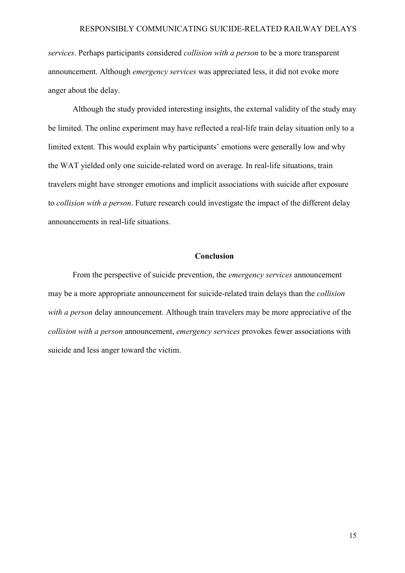*services*. Perhaps participants considered *collision with a person* to be a more transparent announcement. Although *emergency services* was appreciated less, it did not evoke more anger about the delay.

Although the study provided interesting insights, the external validity of the study may be limited. The online experiment may have reflected a real-life train delay situation only to a limited extent. This would explain why participants' emotions were generally low and why the WAT yielded only one suicide-related word on average. In real-life situations, train travelers might have stronger emotions and implicit associations with suicide after exposure to *collision with a person*. Future research could investigate the impact of the different delay announcements in real-life situations.

## **Conclusion**

From the perspective of suicide prevention, the *emergency services* announcement may be a more appropriate announcement for suicide-related train delays than the *collision with a person* delay announcement. Although train travelers may be more appreciative of the *collision with a person* announcement, *emergency services* provokes fewer associations with suicide and less anger toward the victim.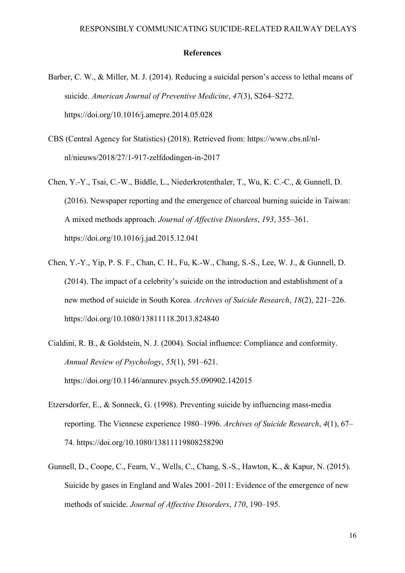#### **References**

- Barber, C. W., & Miller, M. J. (2014). Reducing a suicidal person's access to lethal means of suicide. *American Journal of Preventive Medicine*, *47*(3), S264–S272. https://doi.org/10.1016/j.amepre.2014.05.028
- CBS (Central Agency for Statistics) (2018). Retrieved from: https://www.cbs.nl/nlnl/nieuws/2018/27/1-917-zelfdodingen-in-2017
- Chen, Y.-Y., Tsai, C.-W., Biddle, L., Niederkrotenthaler, T., Wu, K. C.-C., & Gunnell, D. (2016). Newspaper reporting and the emergence of charcoal burning suicide in Taiwan: A mixed methods approach. *Journal of Affective Disorders*, *193*, 355–361. https://doi.org/10.1016/j.jad.2015.12.041
- Chen, Y.-Y., Yip, P. S. F., Chan, C. H., Fu, K.-W., Chang, S.-S., Lee, W. J., & Gunnell, D. (2014). The impact of a celebrity's suicide on the introduction and establishment of a new method of suicide in South Korea. *Archives of Suicide Research*, *18*(2), 221–226. https://doi.org/10.1080/13811118.2013.824840
- Cialdini, R. B., & Goldstein, N. J. (2004). Social influence: Compliance and conformity. *Annual Review of Psychology*, *55*(1), 591–621. https://doi.org/10.1146/annurev.psych.55.090902.142015
- Etzersdorfer, E., & Sonneck, G. (1998). Preventing suicide by influencing mass-media reporting. The Viennese experience 1980–1996. *Archives of Suicide Research*, *4*(1), 67– 74. https://doi.org/10.1080/13811119808258290
- Gunnell, D., Coope, C., Fearn, V., Wells, C., Chang, S.-S., Hawton, K., & Kapur, N. (2015). Suicide by gases in England and Wales 2001–2011: Evidence of the emergence of new methods of suicide. *Journal of Affective Disorders*, *170*, 190–195.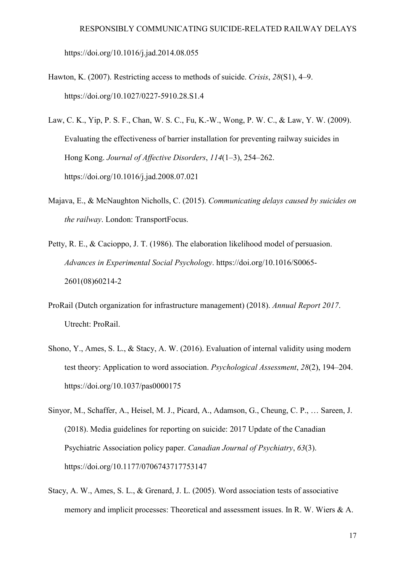https://doi.org/10.1016/j.jad.2014.08.055

- Hawton, K. (2007). Restricting access to methods of suicide. *Crisis*, *28*(S1), 4–9. https://doi.org/10.1027/0227-5910.28.S1.4
- Law, C. K., Yip, P. S. F., Chan, W. S. C., Fu, K.-W., Wong, P. W. C., & Law, Y. W. (2009). Evaluating the effectiveness of barrier installation for preventing railway suicides in Hong Kong. *Journal of Affective Disorders*, *114*(1–3), 254–262. https://doi.org/10.1016/j.jad.2008.07.021
- Majava, E., & McNaughton Nicholls, C. (2015). *Communicating delays caused by suicides on the railway*. London: TransportFocus.
- Petty, R. E., & Cacioppo, J. T. (1986). The elaboration likelihood model of persuasion. *Advances in Experimental Social Psychology*. https://doi.org/10.1016/S0065- 2601(08)60214-2
- ProRail (Dutch organization for infrastructure management) (2018). *Annual Report 2017*. Utrecht: ProRail.
- Shono, Y., Ames, S. L., & Stacy, A. W. (2016). Evaluation of internal validity using modern test theory: Application to word association. *Psychological Assessment*, *28*(2), 194–204. https://doi.org/10.1037/pas0000175
- Sinyor, M., Schaffer, A., Heisel, M. J., Picard, A., Adamson, G., Cheung, C. P., … Sareen, J. (2018). Media guidelines for reporting on suicide: 2017 Update of the Canadian Psychiatric Association policy paper. *Canadian Journal of Psychiatry*, *63*(3). https://doi.org/10.1177/0706743717753147
- Stacy, A. W., Ames, S. L., & Grenard, J. L. (2005). Word association tests of associative memory and implicit processes: Theoretical and assessment issues. In R. W. Wiers & A.